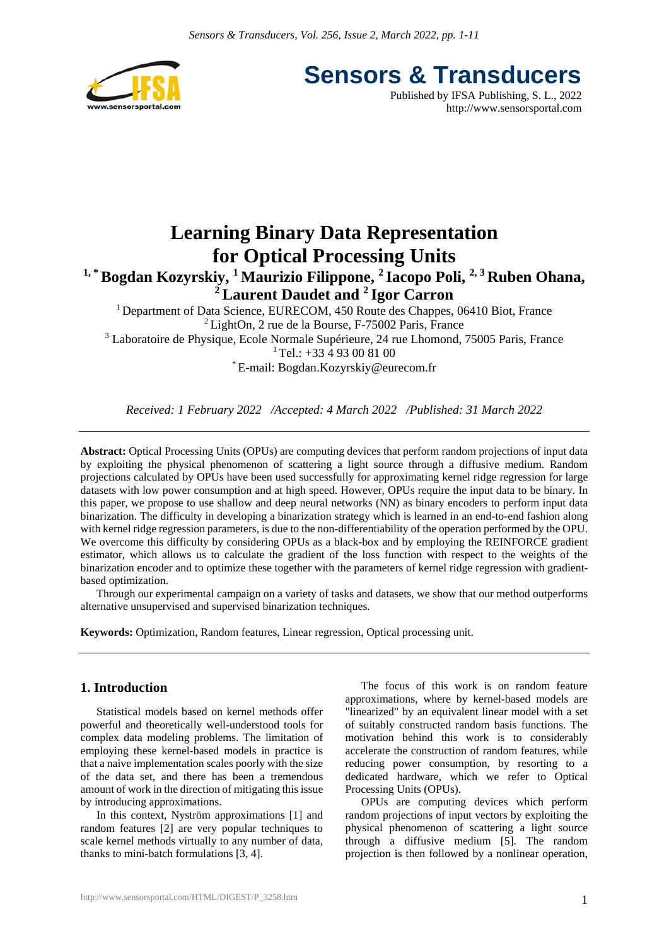

**Sensors & Transducers**

Published by IFSA Publishing, S. L., 2022 http://www.sensorsportal.com

# **Learning Binary Data Representation for Optical Processing Units**

<sup>1, \*</sup> Bogdan Kozyrskiy, <sup>1</sup> Maurizio Filippone, <sup>2</sup> Iacopo Poli, <sup>2, 3</sup> Ruben Ohana, **2 Laurent Daudet and 2 Igor Carron** 

<sup>1</sup> Department of Data Science, EURECOM, 450 Route des Chappes, 06410 Biot, France  ${}^{2}$ LightOn, 2 rue de la Bourse, F-75002 Paris, France <sup>3</sup> Laboratoire de Physique, Ecole Normale Supérieure, 24 rue Lhomond, 75005 Paris, France  $1$  Tel.: +33  $4$  93 00 81 00 \* E-mail: Bogdan.Kozyrskiy@eurecom.fr

*Received: 1 February 2022 /Accepted: 4 March 2022 /Published: 31 March 2022* 

**Abstract:** Optical Processing Units (OPUs) are computing devices that perform random projections of input data by exploiting the physical phenomenon of scattering a light source through a diffusive medium. Random projections calculated by OPUs have been used successfully for approximating kernel ridge regression for large datasets with low power consumption and at high speed. However, OPUs require the input data to be binary. In this paper, we propose to use shallow and deep neural networks (NN) as binary encoders to perform input data binarization. The difficulty in developing a binarization strategy which is learned in an end-to-end fashion along with kernel ridge regression parameters, is due to the non-differentiability of the operation performed by the OPU. We overcome this difficulty by considering OPUs as a black-box and by employing the REINFORCE gradient estimator, which allows us to calculate the gradient of the loss function with respect to the weights of the binarization encoder and to optimize these together with the parameters of kernel ridge regression with gradientbased optimization.

Through our experimental campaign on a variety of tasks and datasets, we show that our method outperforms alternative unsupervised and supervised binarization techniques.

**Keywords:** Optimization, Random features, Linear regression, Optical processing unit.

## **1. Introduction**

Statistical models based on kernel methods offer powerful and theoretically well-understood tools for complex data modeling problems. The limitation of employing these kernel-based models in practice is that a naive implementation scales poorly with the size of the data set, and there has been a tremendous amount of work in the direction of mitigating this issue by introducing approximations.

In this context, Nyström approximations [1] and random features [2] are very popular techniques to scale kernel methods virtually to any number of data, thanks to mini-batch formulations [3, 4].

The focus of this work is on random feature approximations, where by kernel-based models are "linearized" by an equivalent linear model with a set of suitably constructed random basis functions. The motivation behind this work is to considerably accelerate the construction of random features, while reducing power consumption, by resorting to a dedicated hardware, which we refer to Optical Processing Units (OPUs).

OPUs are computing devices which perform random projections of input vectors by exploiting the physical phenomenon of scattering a light source through a diffusive medium [5]. The random projection is then followed by a nonlinear operation,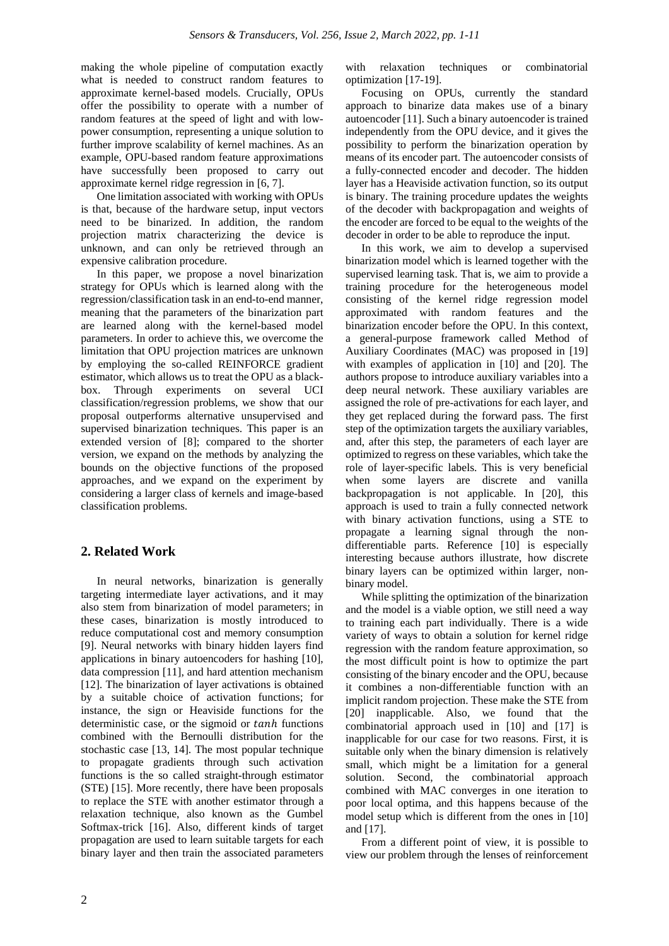making the whole pipeline of computation exactly what is needed to construct random features to approximate kernel-based models. Crucially, OPUs offer the possibility to operate with a number of random features at the speed of light and with lowpower consumption, representing a unique solution to further improve scalability of kernel machines. As an example, OPU-based random feature approximations have successfully been proposed to carry out approximate kernel ridge regression in [6, 7].

One limitation associated with working with OPUs is that, because of the hardware setup, input vectors need to be binarized. In addition, the random projection matrix characterizing the device is unknown, and can only be retrieved through an expensive calibration procedure.

In this paper, we propose a novel binarization strategy for OPUs which is learned along with the regression/classification task in an end-to-end manner, meaning that the parameters of the binarization part are learned along with the kernel-based model parameters. In order to achieve this, we overcome the limitation that OPU projection matrices are unknown by employing the so-called REINFORCE gradient estimator, which allows us to treat the OPU as a blackbox. Through experiments on several UCI classification/regression problems, we show that our proposal outperforms alternative unsupervised and supervised binarization techniques. This paper is an extended version of [8]; compared to the shorter version, we expand on the methods by analyzing the bounds on the objective functions of the proposed approaches, and we expand on the experiment by considering a larger class of kernels and image-based classification problems.

## **2. Related Work**

In neural networks, binarization is generally targeting intermediate layer activations, and it may also stem from binarization of model parameters; in these cases, binarization is mostly introduced to reduce computational cost and memory consumption [9]. Neural networks with binary hidden layers find applications in binary autoencoders for hashing [10], data compression [11], and hard attention mechanism [12]. The binarization of layer activations is obtained by a suitable choice of activation functions; for instance, the sign or Heaviside functions for the deterministic case, or the sigmoid or tanh functions combined with the Bernoulli distribution for the stochastic case [13, 14]. The most popular technique to propagate gradients through such activation functions is the so called straight-through estimator (STE) [15]. More recently, there have been proposals to replace the STE with another estimator through a relaxation technique, also known as the Gumbel Softmax-trick [16]. Also, different kinds of target propagation are used to learn suitable targets for each binary layer and then train the associated parameters

with relaxation techniques or combinatorial optimization [17-19].

Focusing on OPUs, currently the standard approach to binarize data makes use of a binary autoencoder [11]. Such a binary autoencoder is trained independently from the OPU device, and it gives the possibility to perform the binarization operation by means of its encoder part. The autoencoder consists of a fully-connected encoder and decoder. The hidden layer has a Heaviside activation function, so its output is binary. The training procedure updates the weights of the decoder with backpropagation and weights of the encoder are forced to be equal to the weights of the decoder in order to be able to reproduce the input.

In this work, we aim to develop a supervised binarization model which is learned together with the supervised learning task. That is, we aim to provide a training procedure for the heterogeneous model consisting of the kernel ridge regression model approximated with random features and the binarization encoder before the OPU. In this context, a general-purpose framework called Method of Auxiliary Coordinates (MAC) was proposed in [19] with examples of application in [10] and [20]. The authors propose to introduce auxiliary variables into a deep neural network. These auxiliary variables are assigned the role of pre-activations for each layer, and they get replaced during the forward pass. The first step of the optimization targets the auxiliary variables, and, after this step, the parameters of each layer are optimized to regress on these variables, which take the role of layer-specific labels. This is very beneficial when some layers are discrete and vanilla backpropagation is not applicable. In [20], this approach is used to train a fully connected network with binary activation functions, using a STE to propagate a learning signal through the nondifferentiable parts. Reference [10] is especially interesting because authors illustrate, how discrete binary layers can be optimized within larger, nonbinary model.

While splitting the optimization of the binarization and the model is a viable option, we still need a way to training each part individually. There is a wide variety of ways to obtain a solution for kernel ridge regression with the random feature approximation, so the most difficult point is how to optimize the part consisting of the binary encoder and the OPU, because it combines a non-differentiable function with an implicit random projection. These make the STE from [20] inapplicable. Also, we found that the combinatorial approach used in [10] and [17] is inapplicable for our case for two reasons. First, it is suitable only when the binary dimension is relatively small, which might be a limitation for a general solution. Second, the combinatorial approach combined with MAC converges in one iteration to poor local optima, and this happens because of the model setup which is different from the ones in [10] and [17].

From a different point of view, it is possible to view our problem through the lenses of reinforcement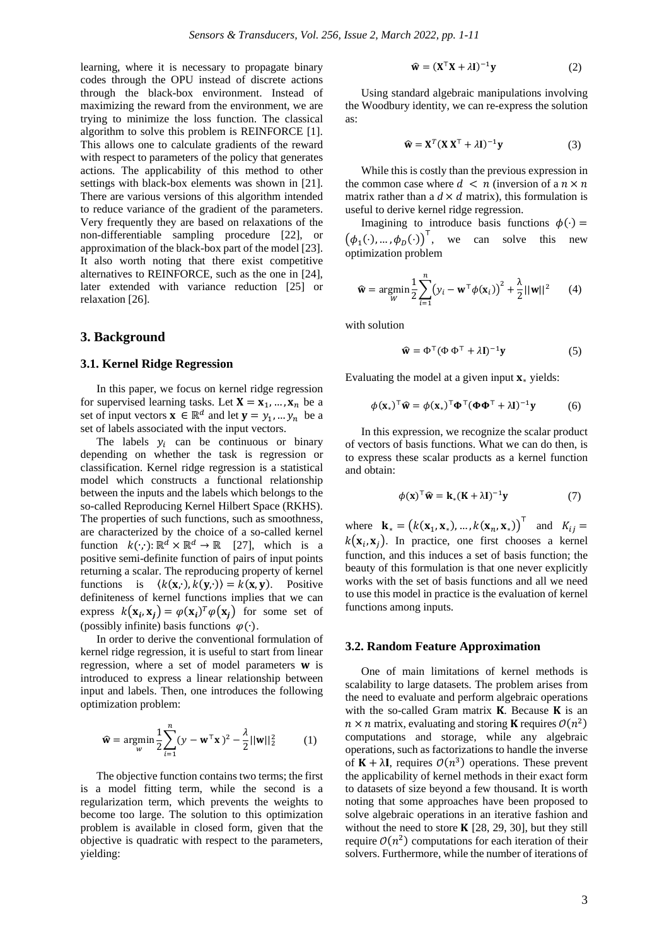learning, where it is necessary to propagate binary codes through the OPU instead of discrete actions through the black-box environment. Instead of maximizing the reward from the environment, we are trying to minimize the loss function. The classical algorithm to solve this problem is REINFORCE [1]. This allows one to calculate gradients of the reward with respect to parameters of the policy that generates actions. The applicability of this method to other settings with black-box elements was shown in [21]. There are various versions of this algorithm intended to reduce variance of the gradient of the parameters. Very frequently they are based on relaxations of the non-differentiable sampling procedure [22], or approximation of the black-box part of the model [23]. It also worth noting that there exist competitive alternatives to REINFORCE, such as the one in [24], later extended with variance reduction [25] or relaxation [26].

## **3. Background**

### **3.1. Kernel Ridge Regression**

In this paper, we focus on kernel ridge regression for supervised learning tasks. Let  $X = x_1, ..., x_n$  be a set of input vectors  $\mathbf{x} \in \mathbb{R}^d$  and let  $\mathbf{y} = y_1, ..., y_n$  be a set of labels associated with the input vectors.

The labels  $y_i$  can be continuous or binary depending on whether the task is regression or classification. Kernel ridge regression is a statistical model which constructs a functional relationship between the inputs and the labels which belongs to the so-called Reproducing Kernel Hilbert Space (RKHS). The properties of such functions, such as smoothness, are characterized by the choice of a so-called kernel function  $k(\cdot, \cdot) : \mathbb{R}^d \times \mathbb{R}^d \to \mathbb{R}$  [27], which is a positive semi-definite function of pairs of input points returning a scalar. The reproducing property of kernel functions is  $\langle k(\mathbf{x}, \cdot), k(\mathbf{y}, \cdot) \rangle = k(\mathbf{x}, \mathbf{y})$ . Positive definiteness of kernel functions implies that we can express  $k(\mathbf{x}_i, \mathbf{x}_j) = \varphi(\mathbf{x}_i)^T \varphi(\mathbf{x}_j)$  for some set of (possibly infinite) basis functions  $\varphi(\cdot)$ .

In order to derive the conventional formulation of kernel ridge regression, it is useful to start from linear regression, where a set of model parameters  $w$  is introduced to express a linear relationship between input and labels. Then, one introduces the following optimization problem:

$$
\widehat{\mathbf{w}} = \underset{w}{\text{argmin}} \frac{1}{2} \sum_{i=1}^{n} (y - \mathbf{w}^{\top} \mathbf{x})^2 - \frac{\lambda}{2} ||\mathbf{w}||_2^2 \tag{1}
$$

The objective function contains two terms; the first is a model fitting term, while the second is a regularization term, which prevents the weights to become too large. The solution to this optimization problem is available in closed form, given that the objective is quadratic with respect to the parameters, yielding:

$$
\widehat{\mathbf{w}} = (\mathbf{X}^{\top}\mathbf{X} + \lambda \mathbf{I})^{-1}\mathbf{y}
$$
 (2)

Using standard algebraic manipulations involving the Woodbury identity, we can re-express the solution as:

$$
\widehat{\mathbf{w}} = \mathbf{X}^T (\mathbf{X} \mathbf{X}^T + \lambda \mathbf{I})^{-1} \mathbf{y}
$$
 (3)

While this is costly than the previous expression in the common case where  $d \leq n$  (inversion of a  $n \times n$ ) matrix rather than a  $d \times d$  matrix), this formulation is useful to derive kernel ridge regression.

Imagining to introduce basis functions  $\phi(\cdot)$  =  $(\phi_1(\cdot), ..., \phi_D(\cdot))^T$ , we can solve this new optimization problem

$$
\widehat{\mathbf{w}} = \underset{W}{\text{argmin}} \frac{1}{2} \sum_{i=1}^{n} (y_i - \mathbf{w}^\top \phi(\mathbf{x}_i))^2 + \frac{\lambda}{2} ||\mathbf{w}||^2 \qquad (4)
$$

with solution

$$
\hat{\mathbf{w}} = \Phi^{\top} (\Phi \, \Phi^{\top} + \lambda \mathbf{I})^{-1} \mathbf{y} \tag{5}
$$

Evaluating the model at a given input  $\mathbf{x}_{*}$  yields:

$$
\phi(\mathbf{x}_{*})^{\top}\hat{\mathbf{w}} = \phi(\mathbf{x}_{*})^{\top}\mathbf{\Phi}^{\top}(\mathbf{\Phi}\mathbf{\Phi}^{\top} + \lambda\mathbf{I})^{-1}\mathbf{y}
$$
(6)

In this expression, we recognize the scalar product of vectors of basis functions. What we can do then, is to express these scalar products as a kernel function and obtain:

$$
\phi(\mathbf{x})^{\top}\hat{\mathbf{w}} = \mathbf{k}_{*}(\mathbf{K} + \lambda \mathbf{I})^{-1}\mathbf{y}
$$
 (7)

where  $\mathbf{k}_{*} = (k(\mathbf{x}_1, \mathbf{x}_*), ..., k(\mathbf{x}_n, \mathbf{x}_*))^{\top}$  and  $K_{ij} =$  $k(\mathbf{x}_i, \mathbf{x}_i)$ . In practice, one first chooses a kernel function, and this induces a set of basis function; the beauty of this formulation is that one never explicitly works with the set of basis functions and all we need to use this model in practice is the evaluation of kernel functions among inputs.

#### **3.2. Random Feature Approximation**

One of main limitations of kernel methods is scalability to large datasets. The problem arises from the need to evaluate and perform algebraic operations with the so-called Gram matrix  $K$ . Because  $K$  is an  $n \times n$  matrix, evaluating and storing **K** requires  $\mathcal{O}(n^2)$ computations and storage, while any algebraic operations, such as factorizations to handle the inverse of  $K + \lambda I$ , requires  $\mathcal{O}(n^3)$  operations. These prevent the applicability of kernel methods in their exact form to datasets of size beyond a few thousand. It is worth noting that some approaches have been proposed to solve algebraic operations in an iterative fashion and without the need to store  $K$  [28, 29, 30], but they still require  $O(n^2)$  computations for each iteration of their solvers. Furthermore, while the number of iterations of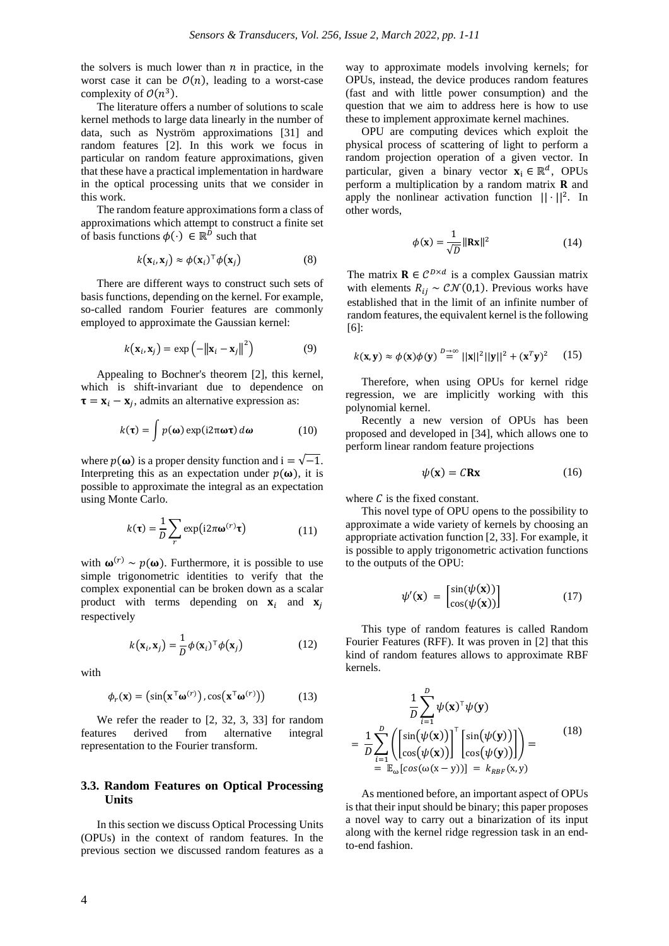the solvers is much lower than  $n$  in practice, in the worst case it can be  $\mathcal{O}(n)$ , leading to a worst-case complexity of  $O(n^3)$ .

The literature offers a number of solutions to scale kernel methods to large data linearly in the number of data, such as Nyström approximations [31] and random features [2]. In this work we focus in particular on random feature approximations, given that these have a practical implementation in hardware in the optical processing units that we consider in this work.

The random feature approximations form a class of approximations which attempt to construct a finite set of basis functions  $\phi(\cdot) \in \mathbb{R}^{\bar{D}}$  such that

$$
k(\mathbf{x}_i, \mathbf{x}_j) \approx \phi(\mathbf{x}_i)^\top \phi(\mathbf{x}_j)
$$
 (8)

There are different ways to construct such sets of basis functions, depending on the kernel. For example, so-called random Fourier features are commonly employed to approximate the Gaussian kernel:

$$
k(\mathbf{x}_i, \mathbf{x}_j) = \exp\left(-\left\|\mathbf{x}_i - \mathbf{x}_j\right\|^2\right) \tag{9}
$$

Appealing to Bochner's theorem [2], this kernel, which is shift-invariant due to dependence on  $\tau = \mathbf{x}_i - \mathbf{x}_j$ , admits an alternative expression as:

$$
k(\tau) = \int p(\omega) \exp(i2\pi\omega\tau) d\omega \qquad (10)
$$

where  $p(\omega)$  is a proper density function and  $i = \sqrt{-1}$ . Interpreting this as an expectation under  $p(\omega)$ , it is possible to approximate the integral as an expectation using Monte Carlo.

$$
k(\tau) = \frac{1}{D} \sum_{r} \exp(i2\pi \omega^{(r)} \tau)
$$
 (11)

with  $\omega^{(r)} \sim p(\omega)$ . Furthermore, it is possible to use simple trigonometric identities to verify that the complex exponential can be broken down as a scalar product with terms depending on  $\mathbf{x}_i$  and  $\mathbf{x}_i$ respectively

$$
k(\mathbf{x}_i, \mathbf{x}_j) = \frac{1}{D} \phi(\mathbf{x}_i)^\top \phi(\mathbf{x}_j)
$$
 (12)

with

$$
\phi_r(\mathbf{x}) = (\sin(\mathbf{x}^\top \mathbf{\omega}^{(r)}), \cos(\mathbf{x}^\top \mathbf{\omega}^{(r)}))
$$
 (13)

We refer the reader to [2, 32, 3, 33] for random features derived from alternative integral representation to the Fourier transform.

## **3.3. Random Features on Optical Processing Units**

In this section we discuss Optical Processing Units (OPUs) in the context of random features. In the previous section we discussed random features as a way to approximate models involving kernels; for OPUs, instead, the device produces random features (fast and with little power consumption) and the question that we aim to address here is how to use these to implement approximate kernel machines.

OPU are computing devices which exploit the physical process of scattering of light to perform a random projection operation of a given vector. In particular, given a binary vector  $\mathbf{x}_i \in \mathbb{R}^d$ , OPUs perform a multiplication by a random matrix  **and** apply the nonlinear activation function  $|| \cdot ||^2$ . In other words,

$$
\phi(\mathbf{x}) = \frac{1}{\sqrt{D}} \|\mathbf{R}\mathbf{x}\|^2 \tag{14}
$$

The matrix  $\mathbf{R} \in \mathcal{C}^{D \times d}$  is a complex Gaussian matrix with elements  $R_{ij} \sim \mathcal{CN}(0,1)$ . Previous works have established that in the limit of an infinite number of random features, the equivalent kernel is the following [6]:

$$
k(\mathbf{x}, \mathbf{y}) \approx \phi(\mathbf{x})\phi(\mathbf{y}) \stackrel{D \to \infty}{=} ||\mathbf{x}||^2 ||\mathbf{y}||^2 + (\mathbf{x}^T \mathbf{y})^2 \qquad (15)
$$

Therefore, when using OPUs for kernel ridge regression, we are implicitly working with this polynomial kernel.

Recently a new version of OPUs has been proposed and developed in [34], which allows one to perform linear random feature projections

$$
\psi(\mathbf{x}) = C\mathbf{R}\mathbf{x} \tag{16}
$$

where  $C$  is the fixed constant.

This novel type of OPU opens to the possibility to approximate a wide variety of kernels by choosing an appropriate activation function [2, 33]. For example, it is possible to apply trigonometric activation functions to the outputs of the OPU:

$$
\psi'(\mathbf{x}) = \begin{bmatrix} \sin(\psi(\mathbf{x})) \\ \cos(\psi(\mathbf{x})) \end{bmatrix}
$$
 (17)

This type of random features is called Random Fourier Features (RFF). It was proven in [2] that this kind of random features allows to approximate RBF kernels.

$$
\frac{1}{D} \sum_{i=1}^{D} \psi(\mathbf{x})^{\top} \psi(\mathbf{y})
$$
\n
$$
= \frac{1}{D} \sum_{i=1}^{D} \left( \begin{bmatrix} \sin(\psi(\mathbf{x})) \\ \cos(\psi(\mathbf{x})) \end{bmatrix}^{\top} \begin{bmatrix} \sin(\psi(\mathbf{y})) \\ \cos(\psi(\mathbf{y})) \end{bmatrix} \right) = \mathbb{E}_{\text{E}_{\text{D}}[\cos(\omega(\mathbf{x}-\mathbf{y}))]} = k_{RBF}(\mathbf{x}, \mathbf{y})
$$
\n(18)

As mentioned before, an important aspect of OPUs is that their input should be binary; this paper proposes a novel way to carry out a binarization of its input along with the kernel ridge regression task in an endto-end fashion.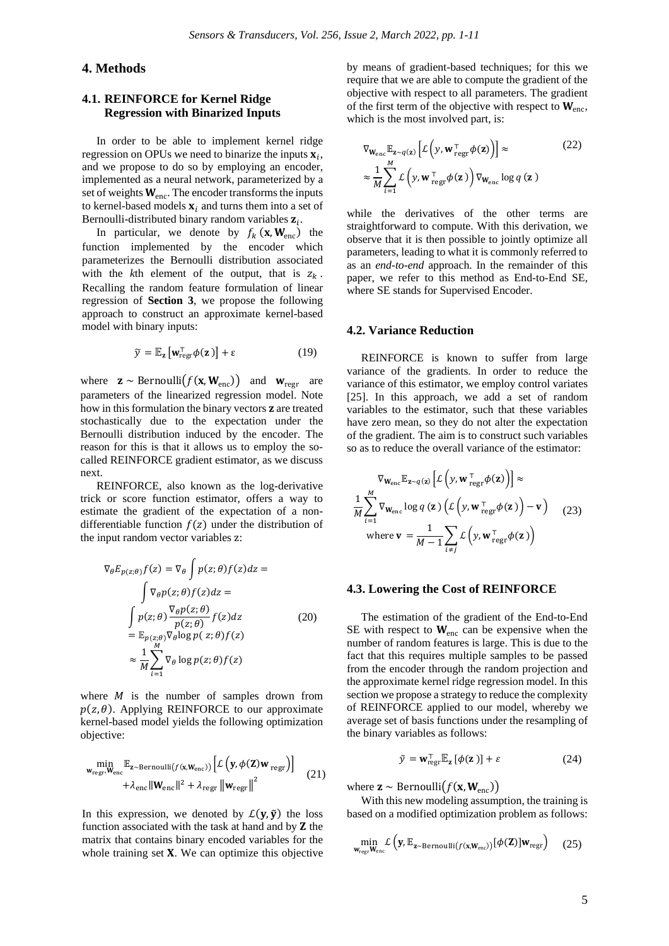## **4. Methods**

## **4.1. REINFORCE for Kernel Ridge Regression with Binarized Inputs**

In order to be able to implement kernel ridge regression on OPUs we need to binarize the inputs  $\mathbf{x}_i$ , and we propose to do so by employing an encoder, implemented as a neural network, parameterized by a set of weights  $W_{\text{enc}}$ . The encoder transforms the inputs to kernel-based models  $\mathbf{x}_i$  and turns them into a set of Bernoulli-distributed binary random variables  $z_i$ .

In particular, we denote by  $f_k(\mathbf{x}, \mathbf{W}_{\text{enc}})$  the function implemented by the encoder which parameterizes the Bernoulli distribution associated with the  $k$ th element of the output, that is  $z_k$ . Recalling the random feature formulation of linear regression of **Section 3**, we propose the following approach to construct an approximate kernel-based model with binary inputs:

$$
\widetilde{\mathbf{y}} = \mathbb{E}_{\mathbf{z}} \left[ \mathbf{w}_{\text{regr}}^{\mathsf{T}} \boldsymbol{\phi}(\mathbf{z}) \right] + \varepsilon \tag{19}
$$

where  $\mathbf{z} \sim \text{Bernoulli}(f(\mathbf{x}, \mathbf{W}_{enc}))$  and  $\mathbf{w}_{regr}$  are parameters of the linearized regression model. Note how in this formulation the binary vectors **z** are treated stochastically due to the expectation under the Bernoulli distribution induced by the encoder. The reason for this is that it allows us to employ the socalled REINFORCE gradient estimator, as we discuss next.

REINFORCE, also known as the log-derivative trick or score function estimator, offers a way to estimate the gradient of the expectation of a nondifferentiable function  $f(z)$  under the distribution of the input random vector variables z:

$$
\nabla_{\theta} E_{p(z;\theta)} f(z) = \nabla_{\theta} \int p(z;\theta) f(z) dz =
$$
\n
$$
\int \nabla_{\theta} p(z;\theta) f(z) dz =
$$
\n
$$
\int p(z;\theta) \frac{\nabla_{\theta} p(z;\theta)}{p(z;\theta)} f(z) dz \qquad (20)
$$
\n
$$
= \mathbb{E}_{p(z;\theta)} \nabla_{\theta} \log p(z;\theta) f(z)
$$
\n
$$
\approx \frac{1}{M} \sum_{i=1}^{M} \nabla_{\theta} \log p(z;\theta) f(z)
$$

where  $M$  is the number of samples drown from  $p(z, \theta)$ . Applying REINFORCE to our approximate kernel-based model yields the following optimization objective:

$$
\min_{\mathbf{w}_{\text{regr}}, \mathbf{w}_{\text{enc}}} \mathbb{E}_{\mathbf{z} \sim \text{Bernoulli}(f(\mathbf{x}, \mathbf{w}_{\text{enc}}))} \left[ \mathcal{L} \left( \mathbf{y}, \phi(\mathbf{Z}) \mathbf{w}_{\text{regr}} \right) \right] + \lambda_{\text{enc}} ||\mathbf{W}_{\text{enc}}||^2 + \lambda_{\text{regr}} ||\mathbf{w}_{\text{regr}}||^2 \tag{21}
$$

In this expression, we denoted by  $\mathcal{L}(\mathbf{y}, \tilde{\mathbf{y}})$  the loss function associated with the task at hand and by  $Z$  the matrix that contains binary encoded variables for the whole training set  $X$ . We can optimize this objective by means of gradient-based techniques; for this we require that we are able to compute the gradient of the objective with respect to all parameters. The gradient of the first term of the objective with respect to  $W_{\text{enc}}$ , which is the most involved part, is:

$$
\nabla_{\mathbf{W}_{\text{enc}}} \mathbb{E}_{\mathbf{z} \sim q(\mathbf{z})} \left[ \mathcal{L} \left( y, \mathbf{w}_{\text{reg}}^{\top} \phi(\mathbf{z}) \right) \right] \approx \qquad (22)
$$
\n
$$
\approx \frac{1}{M} \sum_{i=1}^{M} \mathcal{L} \left( y, \mathbf{w}_{\text{reg}}^{\top} \phi(\mathbf{z}) \right) \nabla_{\mathbf{W}_{\text{enc}}} \log q(\mathbf{z})
$$

while the derivatives of the other terms are straightforward to compute. With this derivation, we observe that it is then possible to jointly optimize all parameters, leading to what it is commonly referred to as an *end-to-end* approach. In the remainder of this paper, we refer to this method as End-to-End SE, where SE stands for Supervised Encoder.

#### **4.2. Variance Reduction**

REINFORCE is known to suffer from large variance of the gradients. In order to reduce the variance of this estimator, we employ control variates [25]. In this approach, we add a set of random variables to the estimator, such that these variables have zero mean, so they do not alter the expectation of the gradient. The aim is to construct such variables so as to reduce the overall variance of the estimator:

$$
\nabla_{\mathbf{W}_{\text{enc}}} \mathbb{E}_{\mathbf{z} \sim q(\mathbf{z})} \left[ \mathcal{L} \left( y, \mathbf{w}_{\text{reg}}^{\top} \phi(\mathbf{z}) \right) \right] \approx
$$
  

$$
\frac{1}{M} \sum_{i=1}^{M} \nabla_{\mathbf{W}_{\text{enc}}} \log q(\mathbf{z}) \left( \mathcal{L} \left( y, \mathbf{w}_{\text{reg}}^{\top} \phi(\mathbf{z}) \right) - \mathbf{v} \right)
$$
(23)  
where  $\mathbf{v} = \frac{1}{M - 1} \sum_{i \neq j} \mathcal{L} \left( y, \mathbf{w}_{\text{reg}}^{\top} \phi(\mathbf{z}) \right)$ 

#### **4.3. Lowering the Cost of REINFORCE**

The estimation of the gradient of the End-to-End SE with respect to  $W_{\text{enc}}$  can be expensive when the number of random features is large. This is due to the fact that this requires multiple samples to be passed from the encoder through the random projection and the approximate kernel ridge regression model. In this section we propose a strategy to reduce the complexity of REINFORCE applied to our model, whereby we average set of basis functions under the resampling of the binary variables as follows:

$$
\tilde{y} = \mathbf{w}_{\text{regr}}^{\text{T}} \mathbb{E}_{\mathbf{z}} \left[ \phi(\mathbf{z}) \right] + \varepsilon \tag{24}
$$

where  $\mathbf{z} \sim \text{Bernoulli}(f(\mathbf{x}, \mathbf{W}_{enc}))$ 

With this new modeling assumption, the training is based on a modified optimization problem as follows:

$$
\min_{\mathbf{w}_{\text{regr}} \mathbf{W}_{\text{enc}}} \mathcal{L}\left(\mathbf{y}, \mathbb{E}_{\mathbf{z} \sim \text{Bernoulli}(f(\mathbf{x}, \mathbf{W}_{\text{enc}}))}[\boldsymbol{\phi}(\mathbf{Z})] \mathbf{w}_{\text{regr}}\right) \quad (25)
$$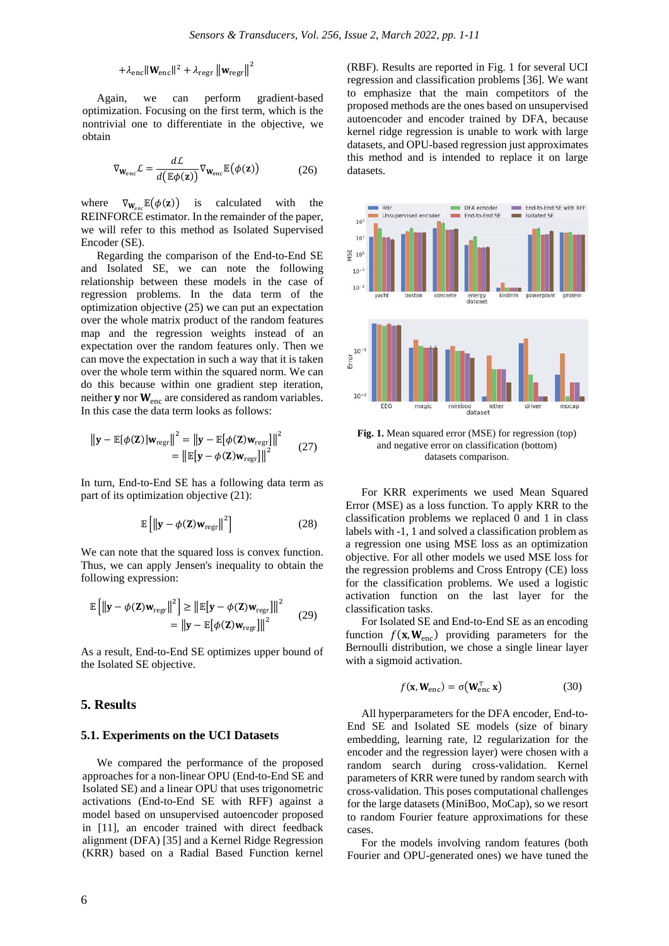$$
+ \lambda_{\text{enc}} \| \mathbf{W}_{\text{enc}} \|^{2} + \lambda_{\text{regr}} \| \mathbf{w}_{\text{regr}} \|^{2}
$$

Again, we can perform gradient-based optimization. Focusing on the first term, which is the nontrivial one to differentiate in the objective, we obtain

$$
\nabla_{\mathbf{W}_{\text{enc}}} \mathcal{L} = \frac{d\mathcal{L}}{d(\mathbb{E}\phi(\mathbf{z}))} \nabla_{\mathbf{W}_{\text{enc}}} \mathbb{E}(\phi(\mathbf{z}))
$$
(26)

where  $\nabla_{\mathbf{W}_{\text{enc}}} \mathbb{E}(\phi(\mathbf{z}))$  is calculated with the REINFORCE estimator. In the remainder of the paper, we will refer to this method as Isolated Supervised Encoder (SE).

Regarding the comparison of the End-to-End SE and Isolated SE, we can note the following relationship between these models in the case of regression problems. In the data term of the optimization objective (25) we can put an expectation over the whole matrix product of the random features map and the regression weights instead of an expectation over the random features only. Then we can move the expectation in such a way that it is taken over the whole term within the squared norm. We can do this because within one gradient step iteration, neither  $y$  nor  $W_{\text{enc}}$  are considered as random variables. In this case the data term looks as follows:

$$
\|\mathbf{y} - \mathbb{E}[\phi(\mathbf{Z})]\mathbf{w}_{\text{regr}}\|^2 = \|\mathbf{y} - \mathbb{E}[\phi(\mathbf{Z})\mathbf{w}_{\text{regr}}]\|^2
$$
  
= 
$$
\|\mathbb{E}[\mathbf{y} - \phi(\mathbf{Z})\mathbf{w}_{\text{regr}}]\|^2
$$
 (27)

In turn, End-to-End SE has a following data term as part of its optimization objective (21):

$$
\mathbb{E}\left[\left\|\mathbf{y} - \phi(\mathbf{Z})\mathbf{w}_{\text{regr}}\right\|^2\right]
$$
 (28)

We can note that the squared loss is convex function. Thus, we can apply Jensen's inequality to obtain the following expression:

$$
\mathbb{E}\left[\left\|\mathbf{y} - \phi(\mathbf{Z})\mathbf{w}_{\text{regr}}\right\|^2\right] \ge \left\|\mathbb{E}\left[\mathbf{y} - \phi(\mathbf{Z})\mathbf{w}_{\text{regr}}\right]\right\|^2
$$
\n
$$
= \left\|\mathbf{y} - \mathbb{E}\left[\phi(\mathbf{Z})\mathbf{w}_{\text{regr}}\right]\right\|^2 \tag{29}
$$

As a result, End-to-End SE optimizes upper bound of the Isolated SE objective.

#### **5. Results**

#### **5.1. Experiments on the UCI Datasets**

We compared the performance of the proposed approaches for a non-linear OPU (End-to-End SE and Isolated SE) and a linear OPU that uses trigonometric activations (End-to-End SE with RFF) against a model based on unsupervised autoencoder proposed in [11], an encoder trained with direct feedback alignment (DFA) [35] and a Kernel Ridge Regression (KRR) based on a Radial Based Function kernel

(RBF). Results are reported in Fig. 1 for several UCI regression and classification problems [36]. We want to emphasize that the main competitors of the proposed methods are the ones based on unsupervised autoencoder and encoder trained by DFA, because kernel ridge regression is unable to work with large datasets, and OPU-based regression just approximates this method and is intended to replace it on large datasets.



**Fig. 1.** Mean squared error (MSE) for regression (top) and negative error on classification (bottom) datasets comparison.

For KRR experiments we used Mean Squared Error (MSE) as a loss function. To apply KRR to the classification problems we replaced 0 and 1 in class labels with -1, 1 and solved a classification problem as a regression one using MSE loss as an optimization objective. For all other models we used MSE loss for the regression problems and Cross Entropy (CE) loss for the classification problems. We used a logistic activation function on the last layer for the classification tasks.

For Isolated SE and End-to-End SE as an encoding function  $f(\mathbf{x}, \mathbf{W}_{enc})$  providing parameters for the Bernoulli distribution, we chose a single linear layer with a sigmoid activation.

$$
f(\mathbf{x}, \mathbf{W}_{\text{enc}}) = \sigma(\mathbf{W}_{\text{enc}}^{\top} \mathbf{x})
$$
 (30)

All hyperparameters for the DFA encoder, End-to-End SE and Isolated SE models (size of binary embedding, learning rate, l2 regularization for the encoder and the regression layer) were chosen with a random search during cross-validation. Kernel parameters of KRR were tuned by random search with cross-validation. This poses computational challenges for the large datasets (MiniBoo, MoCap), so we resort to random Fourier feature approximations for these cases.

For the models involving random features (both Fourier and OPU-generated ones) we have tuned the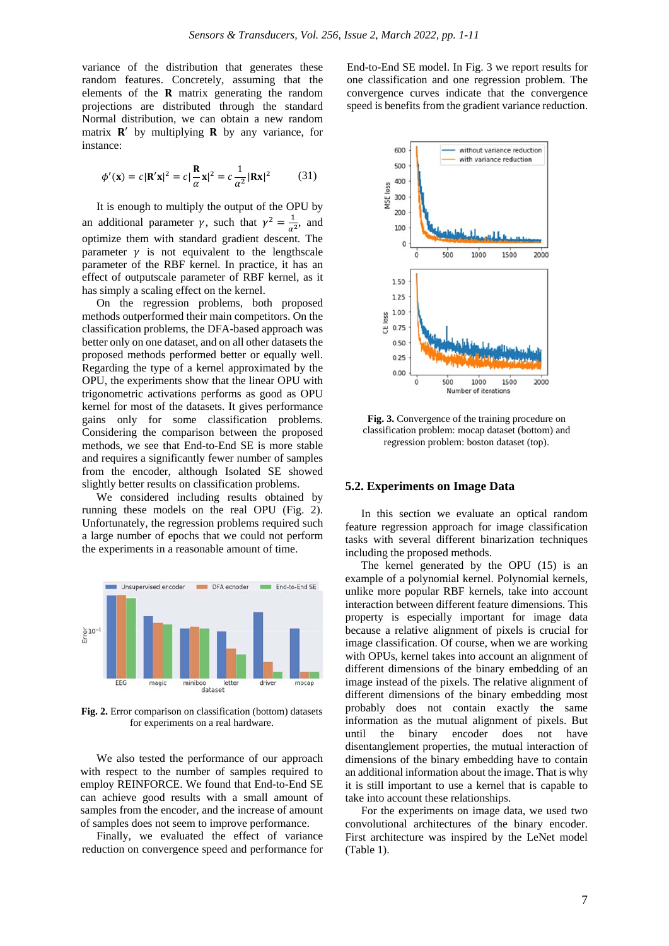variance of the distribution that generates these random features. Concretely, assuming that the elements of the  $\bf{R}$  matrix generating the random projections are distributed through the standard Normal distribution, we can obtain a new random matrix  $\mathbf{R}'$  by multiplying  $\mathbf{R}$  by any variance, for instance:

$$
\phi'(\mathbf{x}) = c|\mathbf{R}'\mathbf{x}|^2 = c|\frac{\mathbf{R}}{\alpha}\mathbf{x}|^2 = c\frac{1}{\alpha^2}|\mathbf{R}\mathbf{x}|^2 \tag{31}
$$

It is enough to multiply the output of the OPU by an additional parameter  $\gamma$ , such that  $\gamma^2 = \frac{1}{\alpha^2}$ , and optimize them with standard gradient descent. The parameter  $\gamma$  is not equivalent to the lengthscale parameter of the RBF kernel. In practice, it has an effect of outputscale parameter of RBF kernel, as it has simply a scaling effect on the kernel.

On the regression problems, both proposed methods outperformed their main competitors. On the classification problems, the DFA-based approach was better only on one dataset, and on all other datasets the proposed methods performed better or equally well. Regarding the type of a kernel approximated by the OPU, the experiments show that the linear OPU with trigonometric activations performs as good as OPU kernel for most of the datasets. It gives performance gains only for some classification problems. Considering the comparison between the proposed methods, we see that End-to-End SE is more stable and requires a significantly fewer number of samples from the encoder, although Isolated SE showed slightly better results on classification problems.

We considered including results obtained by running these models on the real OPU (Fig. 2). Unfortunately, the regression problems required such a large number of epochs that we could not perform the experiments in a reasonable amount of time.



**Fig. 2.** Error comparison on classification (bottom) datasets for experiments on a real hardware.

We also tested the performance of our approach with respect to the number of samples required to employ REINFORCE. We found that End-to-End SE can achieve good results with a small amount of samples from the encoder, and the increase of amount of samples does not seem to improve performance.

Finally, we evaluated the effect of variance reduction on convergence speed and performance for End-to-End SE model. In Fig. 3 we report results for one classification and one regression problem. The convergence curves indicate that the convergence speed is benefits from the gradient variance reduction.



**Fig. 3.** Convergence of the training procedure on classification problem: mocap dataset (bottom) and regression problem: boston dataset (top).

## **5.2. Experiments on Image Data**

In this section we evaluate an optical random feature regression approach for image classification tasks with several different binarization techniques including the proposed methods.

The kernel generated by the OPU (15) is an example of a polynomial kernel. Polynomial kernels, unlike more popular RBF kernels, take into account interaction between different feature dimensions. This property is especially important for image data because a relative alignment of pixels is crucial for image classification. Of course, when we are working with OPUs, kernel takes into account an alignment of different dimensions of the binary embedding of an image instead of the pixels. The relative alignment of different dimensions of the binary embedding most probably does not contain exactly the same information as the mutual alignment of pixels. But until the binary encoder does not have disentanglement properties, the mutual interaction of dimensions of the binary embedding have to contain an additional information about the image. That is why it is still important to use a kernel that is capable to take into account these relationships.

For the experiments on image data, we used two convolutional architectures of the binary encoder. First architecture was inspired by the LeNet model (Table 1).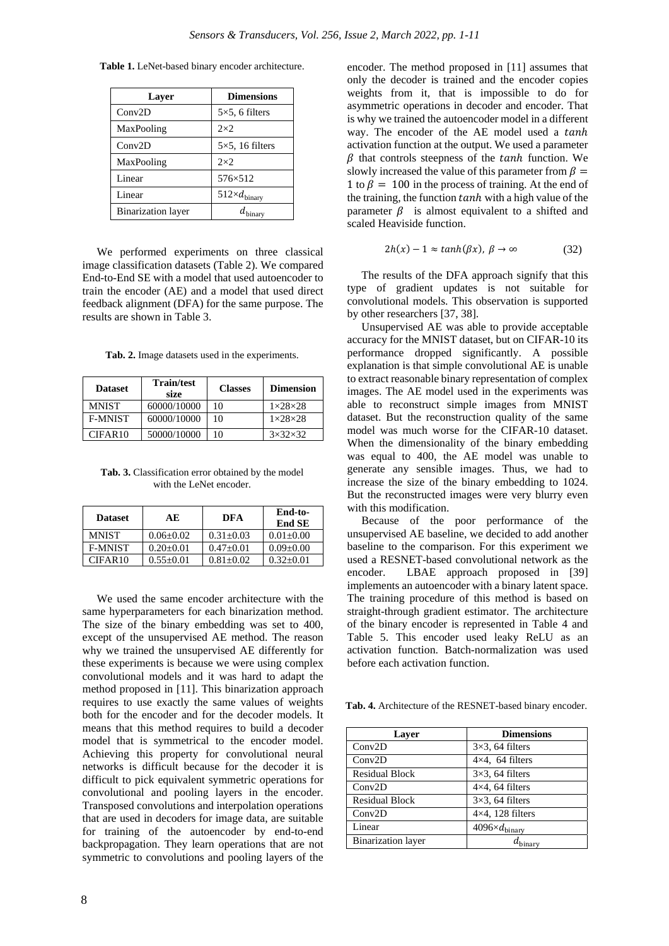| Layer                     | <b>Dimensions</b>             |
|---------------------------|-------------------------------|
| Conv2D                    | $5\times5$ , 6 filters        |
| MaxPooling                | $2\times2$                    |
| Conv2D                    | $5\times5$ , 16 filters       |
| MaxPooling                | $2\times2$                    |
| Linear                    | 576×512                       |
| Linear                    | $512\times d_{\text{binary}}$ |
| <b>Binarization</b> layer | inary                         |

**Table 1.** LeNet-based binary encoder architecture.

We performed experiments on three classical image classification datasets (Table 2). We compared End-to-End SE with a model that used autoencoder to train the encoder (AE) and a model that used direct feedback alignment (DFA) for the same purpose. The results are shown in Table 3.

**Tab. 2.** Image datasets used in the experiments.

| <b>Dataset</b> | <b>Train/test</b><br>size | <b>Classes</b> | <b>Dimension</b>    |
|----------------|---------------------------|----------------|---------------------|
| <b>MNIST</b>   | 60000/10000               | 10             | $1\times28\times28$ |
| <b>F-MNIST</b> | 60000/10000               | 10             | $1\times28\times28$ |
| CIFAR10        | 50000/10000               | 10             | $3\times32\times32$ |

**Tab. 3.** Classification error obtained by the model with the LeNet encoder.

| <b>Dataset</b> | AE              | DFA           | End-to-<br><b>End SE</b> |
|----------------|-----------------|---------------|--------------------------|
| <b>MNIST</b>   | $0.06 + 0.02$   | $0.31 + 0.03$ | $0.01 + 0.00$            |
| <b>F-MNIST</b> | $0.20 + 0.01$   | $0.47+0.01$   | $0.09 + 0.00$            |
| CIFAR10        | $0.55 \pm 0.01$ | $0.81 + 0.02$ | $0.32 + 0.01$            |

We used the same encoder architecture with the same hyperparameters for each binarization method. The size of the binary embedding was set to 400, except of the unsupervised AE method. The reason why we trained the unsupervised AE differently for these experiments is because we were using complex convolutional models and it was hard to adapt the method proposed in [11]. This binarization approach requires to use exactly the same values of weights both for the encoder and for the decoder models. It means that this method requires to build a decoder model that is symmetrical to the encoder model. Achieving this property for convolutional neural networks is difficult because for the decoder it is difficult to pick equivalent symmetric operations for convolutional and pooling layers in the encoder. Transposed convolutions and interpolation operations that are used in decoders for image data, are suitable for training of the autoencoder by end-to-end backpropagation. They learn operations that are not symmetric to convolutions and pooling layers of the encoder. The method proposed in [11] assumes that only the decoder is trained and the encoder copies weights from it, that is impossible to do for asymmetric operations in decoder and encoder. That is why we trained the autoencoder model in a different way. The encoder of the AE model used a tanh activation function at the output. We used a parameter  $\beta$  that controls steepness of the tanh function. We slowly increased the value of this parameter from  $\beta =$ 1 to  $\beta = 100$  in the process of training. At the end of the training, the function  $tanh$  with a high value of the parameter  $\beta$  is almost equivalent to a shifted and scaled Heaviside function.

$$
2h(x) - 1 \approx \tanh(\beta x), \ \beta \to \infty \tag{32}
$$

The results of the DFA approach signify that this type of gradient updates is not suitable for convolutional models. This observation is supported by other researchers [37, 38].

Unsupervised AE was able to provide acceptable accuracy for the MNIST dataset, but on CIFAR-10 its performance dropped significantly. A possible explanation is that simple convolutional AE is unable to extract reasonable binary representation of complex images. The AE model used in the experiments was able to reconstruct simple images from MNIST dataset. But the reconstruction quality of the same model was much worse for the CIFAR-10 dataset. When the dimensionality of the binary embedding was equal to 400, the AE model was unable to generate any sensible images. Thus, we had to increase the size of the binary embedding to 1024. But the reconstructed images were very blurry even with this modification.

Because of the poor performance of the unsupervised AE baseline, we decided to add another baseline to the comparison. For this experiment we used a RESNET-based convolutional network as the encoder. LBAE approach proposed in [39] implements an autoencoder with a binary latent space. The training procedure of this method is based on straight-through gradient estimator. The architecture of the binary encoder is represented in Table 4 and Table 5. This encoder used leaky ReLU as an activation function. Batch-normalization was used before each activation function.

**Tab. 4.** Architecture of the RESNET-based binary encoder.

| Layer                     | <b>Dimensions</b>               |
|---------------------------|---------------------------------|
| Conv2D                    | $3\times3$ , 64 filters         |
| Conv2D                    | $4\times4$ , 64 filters         |
| <b>Residual Block</b>     | $3\times3$ , 64 filters         |
| Conv2D                    | $4\times4$ , 64 filters         |
| <b>Residual Block</b>     | $3\times3$ , 64 filters         |
| Conv2D                    | $4\times4$ , 128 filters        |
| Linear                    | $4096 \times d_{\text{binary}}$ |
| <b>Binarization</b> layer |                                 |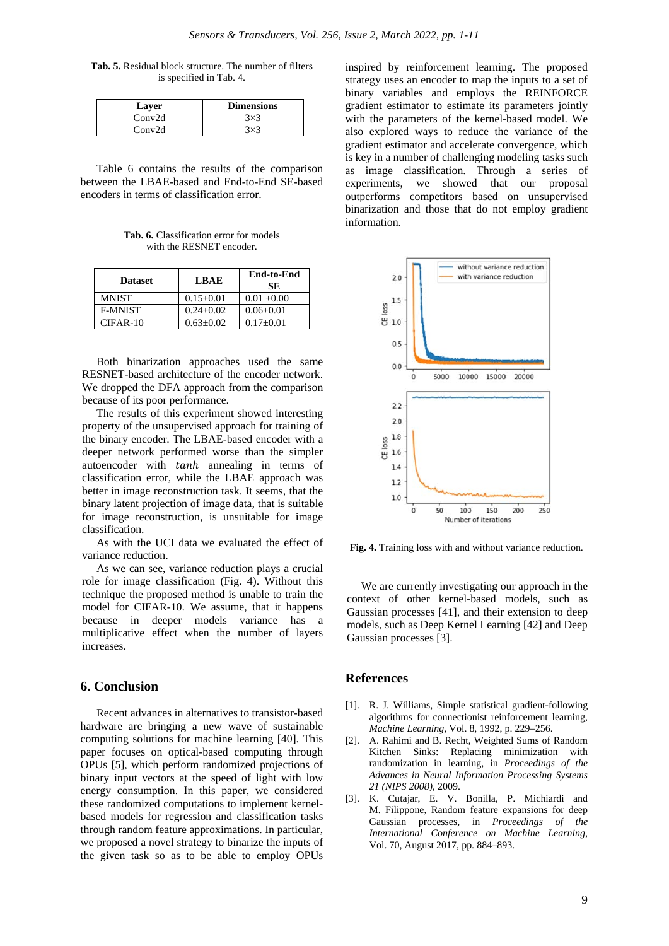**Tab. 5.** Residual block structure. The number of filters is specified in Tab. 4.

| Laver  | <b>Dimensions</b> |
|--------|-------------------|
| Conv2d |                   |
| Conv2d |                   |

Table 6 contains the results of the comparison between the LBAE-based and End-to-End SE-based encoders in terms of classification error.

**Tab. 6.** Classification error for models with the RESNET encoder.

| <b>Dataset</b> | <b>LBAE</b>   | <b>End-to-End</b><br><b>SE</b> |
|----------------|---------------|--------------------------------|
| MNIST          | $0.15 + 0.01$ | $0.01 \pm 0.00$                |
| <b>F-MNIST</b> | $0.24 + 0.02$ | $0.06 \pm 0.01$                |
| $CIFAR-10$     | $0.63 + 0.02$ | $0.17+0.01$                    |

Both binarization approaches used the same RESNET-based architecture of the encoder network. We dropped the DFA approach from the comparison because of its poor performance.

The results of this experiment showed interesting property of the unsupervised approach for training of the binary encoder. The LBAE-based encoder with a deeper network performed worse than the simpler autoencoder with tanh annealing in terms of classification error, while the LBAE approach was better in image reconstruction task. It seems, that the binary latent projection of image data, that is suitable for image reconstruction, is unsuitable for image classification.

As with the UCI data we evaluated the effect of variance reduction.

As we can see, variance reduction plays a crucial role for image classification (Fig. 4). Without this technique the proposed method is unable to train the model for CIFAR-10. We assume, that it happens because in deeper models variance has a multiplicative effect when the number of layers increases.

## **6. Conclusion**

Recent advances in alternatives to transistor-based hardware are bringing a new wave of sustainable computing solutions for machine learning [40]. This paper focuses on optical-based computing through OPUs [5], which perform randomized projections of binary input vectors at the speed of light with low energy consumption. In this paper, we considered these randomized computations to implement kernelbased models for regression and classification tasks through random feature approximations. In particular, we proposed a novel strategy to binarize the inputs of the given task so as to be able to employ OPUs inspired by reinforcement learning. The proposed strategy uses an encoder to map the inputs to a set of binary variables and employs the REINFORCE gradient estimator to estimate its parameters jointly with the parameters of the kernel-based model. We also explored ways to reduce the variance of the gradient estimator and accelerate convergence, which is key in a number of challenging modeling tasks such as image classification. Through a series of experiments, we showed that our proposal outperforms competitors based on unsupervised binarization and those that do not employ gradient information.



**Fig. 4.** Training loss with and without variance reduction.

We are currently investigating our approach in the context of other kernel-based models, such as Gaussian processes [41], and their extension to deep models, such as Deep Kernel Learning [42] and Deep Gaussian processes [3].

### **References**

- [1]. R. J. Williams, Simple statistical gradient-following algorithms for connectionist reinforcement learning, *Machine Learning*, Vol. 8, 1992, p. 229–256.
- [2]. A. Rahimi and B. Recht, Weighted Sums of Random Kitchen Sinks: Replacing minimization with randomization in learning, in *Proceedings of the Advances in Neural Information Processing Systems 21 (NIPS 2008)*, 2009.
- [3]. K. Cutajar, E. V. Bonilla, P. Michiardi and M. Filippone, Random feature expansions for deep Gaussian processes, in *Proceedings of the International Conference on Machine Learning*, Vol. 70, August 2017, pp. 884–893.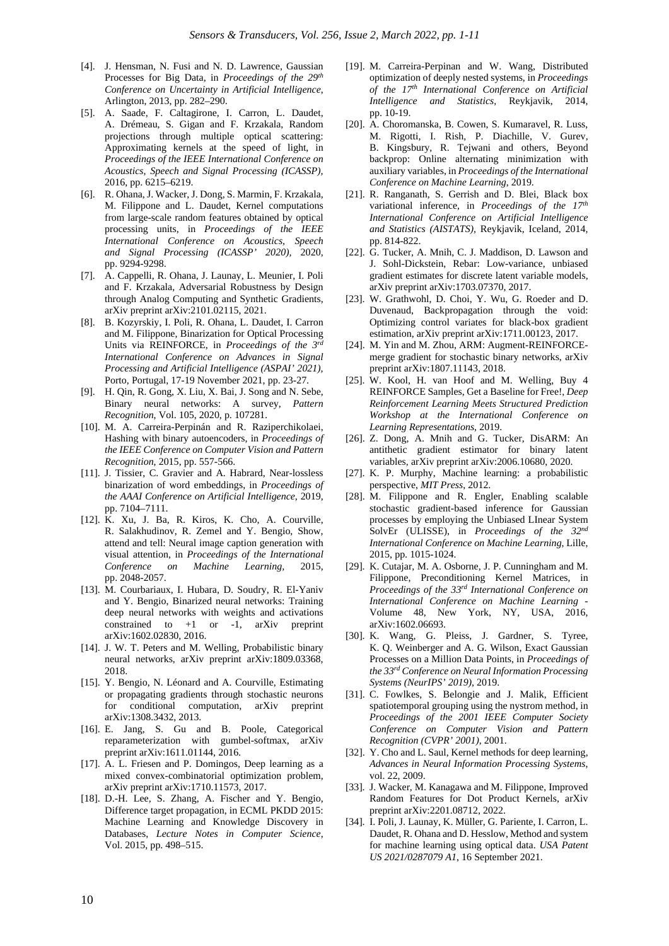- [4]. J. Hensman, N. Fusi and N. D. Lawrence, Gaussian Processes for Big Data, in *Proceedings of the 29th Conference on Uncertainty in Artificial Intelligence*, Arlington, 2013, pp. 282–290.
- [5]. A. Saade, F. Caltagirone, I. Carron, L. Daudet, A. Drémeau, S. Gigan and F. Krzakala, Random projections through multiple optical scattering: Approximating kernels at the speed of light, in *Proceedings of the IEEE International Conference on Acoustics, Speech and Signal Processing (ICASSP),* 2016, pp. 6215–6219.
- [6]. R. Ohana, J. Wacker, J. Dong, S. Marmin, F. Krzakala, M. Filippone and L. Daudet, Kernel computations from large-scale random features obtained by optical processing units, in *Proceedings of the IEEE International Conference on Acoustics, Speech and Signal Processing (ICASSP' 2020),* 2020, pp. 9294-9298.
- [7]. A. Cappelli, R. Ohana, J. Launay, L. Meunier, I. Poli and F. Krzakala, Adversarial Robustness by Design through Analog Computing and Synthetic Gradients, arXiv preprint arXiv:2101.02115, 2021.
- [8]. B. Kozyrskiy, I. Poli, R. Ohana, L. Daudet, I. Carron and M. Filippone, Binarization for Optical Processing Units via REINFORCE, in *Proceedings of the 3rd International Conference on Advances in Signal Processing and Artificial Intelligence (ASPAI' 2021)*, Porto, Portugal, 17-19 November 2021, pp. 23-27.
- [9]. H. Qin, R. Gong, X. Liu, X. Bai, J. Song and N. Sebe, Binary neural networks: A survey, *Pattern Recognition*, Vol. 105, 2020, p. 107281.
- [10]. M. A. Carreira-Perpinán and R. Raziperchikolaei, Hashing with binary autoencoders, in *Proceedings of the IEEE Conference on Computer Vision and Pattern Recognition*, 2015, pp. 557-566.
- [11]. J. Tissier, C. Gravier and A. Habrard, Near-lossless binarization of word embeddings, in *Proceedings of the AAAI Conference on Artificial Intelligence*, 2019, pp. 7104–7111.
- [12]. K. Xu, J. Ba, R. Kiros, K. Cho, A. Courville, R. Salakhudinov, R. Zemel and Y. Bengio, Show, attend and tell: Neural image caption generation with visual attention, in *Proceedings of the International Conference on Machine Learning,* 2015, pp. 2048-2057.
- [13]. M. Courbariaux, I. Hubara, D. Soudry, R. El-Yaniv and Y. Bengio, Binarized neural networks: Training deep neural networks with weights and activations constrained to  $+1$  or  $-1$ , arXiv preprint arXiv:1602.02830, 2016.
- [14]. J. W. T. Peters and M. Welling, Probabilistic binary neural networks, arXiv preprint arXiv:1809.03368, 2018.
- [15]. Y. Bengio, N. Léonard and A. Courville, Estimating or propagating gradients through stochastic neurons for conditional computation, arXiv preprint arXiv:1308.3432, 2013.
- [16]. E. Jang, S. Gu and B. Poole, Categorical reparameterization with gumbel-softmax, arXiv preprint arXiv:1611.01144, 2016.
- [17]. A. L. Friesen and P. Domingos, Deep learning as a mixed convex-combinatorial optimization problem, arXiv preprint arXiv:1710.11573, 2017.
- [18]. D.-H. Lee, S. Zhang, A. Fischer and Y. Bengio, Difference target propagation, in ECML PKDD 2015: Machine Learning and Knowledge Discovery in Databases, *Lecture Notes in Computer Science*, Vol. 2015, pp. 498–515.
- [19]. M. Carreira-Perpinan and W. Wang, Distributed optimization of deeply nested systems, in *Proceedings of the 17th International Conference on Artificial Intelligence and Statistics*, Reykjavik, 2014, pp. 10-19.
- [20]. A. Choromanska, B. Cowen, S. Kumaravel, R. Luss, M. Rigotti, I. Rish, P. Diachille, V. Gurev, B. Kingsbury, R. Tejwani and others, Beyond backprop: Online alternating minimization with auxiliary variables, in *Proceedings of the International Conference on Machine Learning*, 2019.
- [21]. R. Ranganath, S. Gerrish and D. Blei, Black box variational inference, in *Proceedings of the 17th International Conference on Artificial Intelligence and Statistics (AISTATS),* Reykjavik, Iceland, 2014, pp. 814-822.
- [22]. G. Tucker, A. Mnih, C. J. Maddison, D. Lawson and J. Sohl-Dickstein, Rebar: Low-variance, unbiased gradient estimates for discrete latent variable models, arXiv preprint arXiv:1703.07370, 2017.
- [23]. W. Grathwohl, D. Choi, Y. Wu, G. Roeder and D. Duvenaud, Backpropagation through the void: Optimizing control variates for black-box gradient estimation, arXiv preprint arXiv:1711.00123, 2017.
- [24]. M. Yin and M. Zhou, ARM: Augment-REINFORCEmerge gradient for stochastic binary networks, arXiv preprint arXiv:1807.11143, 2018.
- [25]. W. Kool, H. van Hoof and M. Welling, Buy 4 REINFORCE Samples, Get a Baseline for Free!, *Deep Reinforcement Learning Meets Structured Prediction Workshop at the International Conference on Learning Representations,* 2019.
- [26]. Z. Dong, A. Mnih and G. Tucker, DisARM: An antithetic gradient estimator for binary latent variables, arXiv preprint arXiv:2006.10680, 2020.
- [27]. K. P. Murphy, Machine learning: a probabilistic perspective, *MIT Press*, 2012.
- [28]. M. Filippone and R. Engler, Enabling scalable stochastic gradient-based inference for Gaussian processes by employing the Unbiased LInear System SolvEr (ULISSE), in *Proceedings of the 32nd International Conference on Machine Learning*, Lille, 2015, pp. 1015-1024.
- [29]. K. Cutajar, M. A. Osborne, J. P. Cunningham and M. Filippone, Preconditioning Kernel Matrices, in *Proceedings of the 33rd International Conference on International Conference on Machine Learning* - Volume 48, New York, NY, USA, 2016, arXiv:1602.06693.
- [30]. K. Wang, G. Pleiss, J. Gardner, S. Tyree, K. Q. Weinberger and A. G. Wilson, Exact Gaussian Processes on a Million Data Points, in *Proceedings of the 33rd Conference on Neural Information Processing Systems (NeurIPS' 2019),* 2019.
- [31]. C. Fowlkes, S. Belongie and J. Malik, Efficient spatiotemporal grouping using the nystrom method, in *Proceedings of the 2001 IEEE Computer Society Conference on Computer Vision and Pattern Recognition (CVPR' 2001)*, 2001.
- [32]. Y. Cho and L. Saul, Kernel methods for deep learning, *Advances in Neural Information Processing Systems*, vol. 22, 2009.
- [33]. J. Wacker, M. Kanagawa and M. Filippone, Improved Random Features for Dot Product Kernels, arXiv preprint arXiv:2201.08712, 2022.
- [34]. I. Poli, J. Launay, K. Müller, G. Pariente, I. Carron, L. Daudet, R. Ohana and D. Hesslow, Method and system for machine learning using optical data. *USA Patent US 2021/0287079 A1*, 16 September 2021.